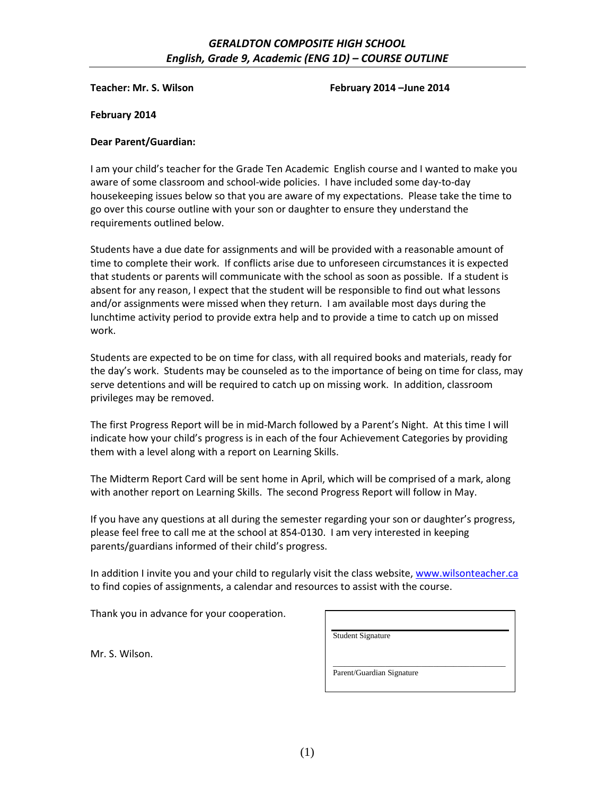# *GERALDTON COMPOSITE HIGH SCHOOL English, Grade 9, Academic (ENG 1D) – COURSE OUTLINE*

**Teacher: Mr. S. Wilson February 2014 –June 2014**

**February 2014**

#### **Dear Parent/Guardian:**

I am your child's teacher for the Grade Ten Academic English course and I wanted to make you aware of some classroom and school-wide policies. I have included some day-to-day housekeeping issues below so that you are aware of my expectations. Please take the time to go over this course outline with your son or daughter to ensure they understand the requirements outlined below.

Students have a due date for assignments and will be provided with a reasonable amount of time to complete their work. If conflicts arise due to unforeseen circumstances it is expected that students or parents will communicate with the school as soon as possible. If a student is absent for any reason, I expect that the student will be responsible to find out what lessons and/or assignments were missed when they return. I am available most days during the lunchtime activity period to provide extra help and to provide a time to catch up on missed work.

Students are expected to be on time for class, with all required books and materials, ready for the day's work. Students may be counseled as to the importance of being on time for class, may serve detentions and will be required to catch up on missing work. In addition, classroom privileges may be removed.

The first Progress Report will be in mid-March followed by a Parent's Night. At this time I will indicate how your child's progress is in each of the four Achievement Categories by providing them with a level along with a report on Learning Skills.

The Midterm Report Card will be sent home in April, which will be comprised of a mark, along with another report on Learning Skills. The second Progress Report will follow in May.

If you have any questions at all during the semester regarding your son or daughter's progress, please feel free to call me at the school at 854-0130. I am very interested in keeping parents/guardians informed of their child's progress.

In addition I invite you and your child to regularly visit the class website, [www.wilsonteacher.ca](http://www.wilsonteacher.ca/) to find copies of assignments, a calendar and resources to assist with the course.

Thank you in advance for your cooperation.

| <b>Student Signature</b>  |  |  |
|---------------------------|--|--|
|                           |  |  |
|                           |  |  |
|                           |  |  |
| Parent/Guardian Signature |  |  |

Mr. S. Wilson.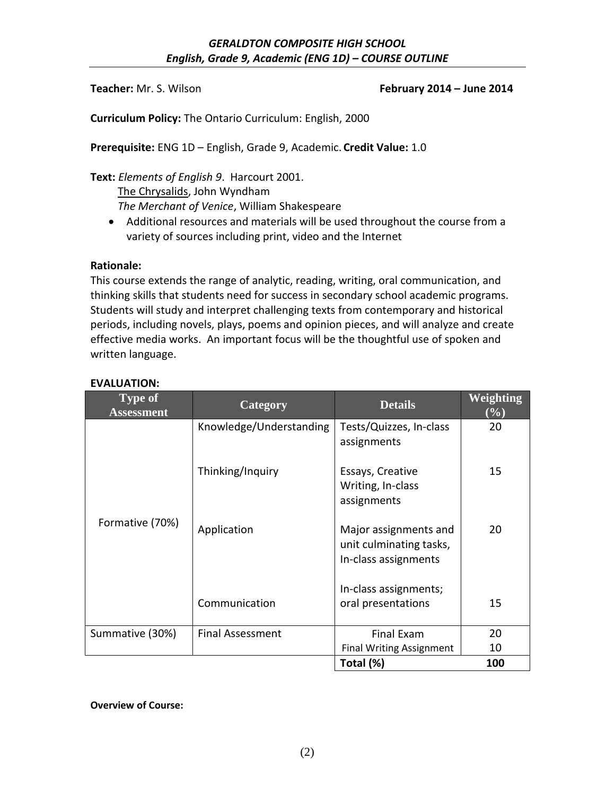## **Teacher:** Mr. S. Wilson **February 2014 – June 2014**

**Curriculum Policy:** The Ontario Curriculum: English, 2000

**Prerequisite:** ENG 1D – English, Grade 9, Academic. **Credit Value:** 1.0

**Text:** *Elements of English 9*. Harcourt 2001.

 The Chrysalids, John Wyndham *The Merchant of Venice*, William Shakespeare

 Additional resources and materials will be used throughout the course from a variety of sources including print, video and the Internet

### **Rationale:**

This course extends the range of analytic, reading, writing, oral communication, and thinking skills that students need for success in secondary school academic programs. Students will study and interpret challenging texts from contemporary and historical periods, including novels, plays, poems and opinion pieces, and will analyze and create effective media works. An important focus will be the thoughtful use of spoken and written language.

| <b>Type of</b><br><b>Assessment</b> | Category                | <b>Details</b>                                                           | <b>Weighting</b><br>$(\%)$ |
|-------------------------------------|-------------------------|--------------------------------------------------------------------------|----------------------------|
|                                     | Knowledge/Understanding | Tests/Quizzes, In-class<br>assignments                                   | 20                         |
|                                     | Thinking/Inquiry        | Essays, Creative<br>Writing, In-class<br>assignments                     | 15                         |
| Formative (70%)                     | Application             | Major assignments and<br>unit culminating tasks,<br>In-class assignments | 20                         |
|                                     | Communication           | In-class assignments;<br>oral presentations                              | 15                         |
| Summative (30%)                     | <b>Final Assessment</b> | <b>Final Exam</b>                                                        | 20                         |
|                                     |                         | <b>Final Writing Assignment</b>                                          | 10                         |
|                                     |                         | Total (%)                                                                | 100                        |

## **EVALUATION:**

**Overview of Course:**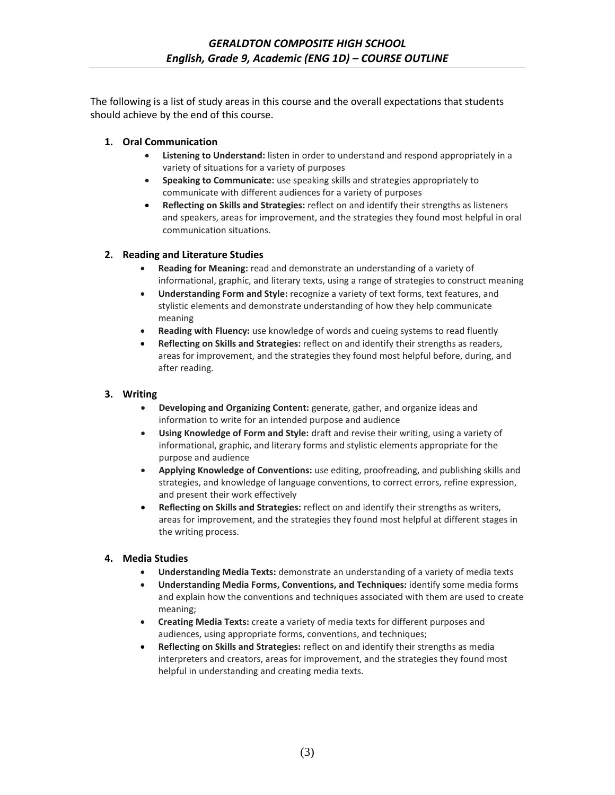The following is a list of study areas in this course and the overall expectations that students should achieve by the end of this course.

#### **1. Oral Communication**

- **Listening to Understand:** listen in order to understand and respond appropriately in a variety of situations for a variety of purposes
- **Speaking to Communicate:** use speaking skills and strategies appropriately to communicate with different audiences for a variety of purposes
- **Reflecting on Skills and Strategies:** reflect on and identify their strengths as listeners and speakers, areas for improvement, and the strategies they found most helpful in oral communication situations.

### **2. Reading and Literature Studies**

- **Reading for Meaning:** read and demonstrate an understanding of a variety of informational, graphic, and literary texts, using a range of strategies to construct meaning
- **Understanding Form and Style:** recognize a variety of text forms, text features, and stylistic elements and demonstrate understanding of how they help communicate meaning
- **Reading with Fluency:** use knowledge of words and cueing systems to read fluently
- **Reflecting on Skills and Strategies:** reflect on and identify their strengths as readers, areas for improvement, and the strategies they found most helpful before, during, and after reading.

### **3. Writing**

- **Developing and Organizing Content:** generate, gather, and organize ideas and information to write for an intended purpose and audience
- **Using Knowledge of Form and Style:** draft and revise their writing, using a variety of informational, graphic, and literary forms and stylistic elements appropriate for the purpose and audience
- **Applying Knowledge of Conventions:** use editing, proofreading, and publishing skills and strategies, and knowledge of language conventions, to correct errors, refine expression, and present their work effectively
- **Reflecting on Skills and Strategies:** reflect on and identify their strengths as writers, areas for improvement, and the strategies they found most helpful at different stages in the writing process.

#### **4. Media Studies**

- **Understanding Media Texts:** demonstrate an understanding of a variety of media texts
- **Understanding Media Forms, Conventions, and Techniques:** identify some media forms and explain how the conventions and techniques associated with them are used to create meaning;
- **Creating Media Texts:** create a variety of media texts for different purposes and audiences, using appropriate forms, conventions, and techniques;
- **Reflecting on Skills and Strategies:** reflect on and identify their strengths as media interpreters and creators, areas for improvement, and the strategies they found most helpful in understanding and creating media texts.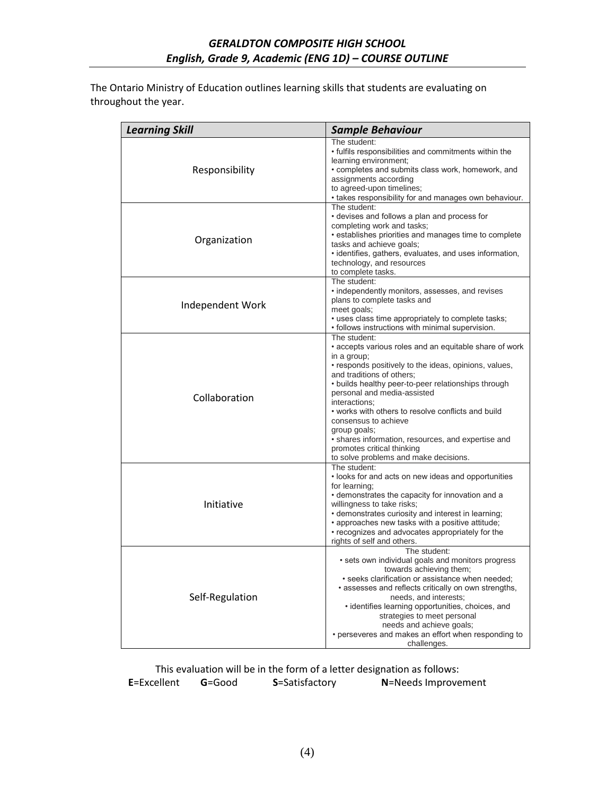The Ontario Ministry of Education outlines learning skills that students are evaluating on throughout the year.

| <b>Learning Skill</b> | <b>Sample Behaviour</b>                                                                                                                                                                                                                                                                                                                                                                                                                                                                                       |  |  |
|-----------------------|---------------------------------------------------------------------------------------------------------------------------------------------------------------------------------------------------------------------------------------------------------------------------------------------------------------------------------------------------------------------------------------------------------------------------------------------------------------------------------------------------------------|--|--|
| Responsibility        | The student:<br>• fulfils responsibilities and commitments within the<br>learning environment;<br>• completes and submits class work, homework, and<br>assignments according<br>to agreed-upon timelines;<br>• takes responsibility for and manages own behaviour.                                                                                                                                                                                                                                            |  |  |
| Organization          | The student:<br>• devises and follows a plan and process for<br>completing work and tasks;<br>· establishes priorities and manages time to complete<br>tasks and achieve goals;<br>· identifies, gathers, evaluates, and uses information,<br>technology, and resources<br>to complete tasks.                                                                                                                                                                                                                 |  |  |
| Independent Work      | The student:<br>• independently monitors, assesses, and revises<br>plans to complete tasks and<br>meet goals;<br>• uses class time appropriately to complete tasks;<br>• follows instructions with minimal supervision.                                                                                                                                                                                                                                                                                       |  |  |
| Collaboration         | The student:<br>• accepts various roles and an equitable share of work<br>in a group;<br>• responds positively to the ideas, opinions, values,<br>and traditions of others;<br>• builds healthy peer-to-peer relationships through<br>personal and media-assisted<br>interactions:<br>• works with others to resolve conflicts and build<br>consensus to achieve<br>group goals;<br>· shares information, resources, and expertise and<br>promotes critical thinking<br>to solve problems and make decisions. |  |  |
| Initiative            | The student:<br>. looks for and acts on new ideas and opportunities<br>for learning;<br>• demonstrates the capacity for innovation and a<br>willingness to take risks;<br>• demonstrates curiosity and interest in learning;<br>• approaches new tasks with a positive attitude;<br>• recognizes and advocates appropriately for the<br>rights of self and others.                                                                                                                                            |  |  |
| Self-Regulation       | The student:<br>• sets own individual goals and monitors progress<br>towards achieving them;<br>· seeks clarification or assistance when needed;<br>• assesses and reflects critically on own strengths,<br>needs, and interests;<br>· identifies learning opportunities, choices, and<br>strategies to meet personal<br>needs and achieve goals;<br>• perseveres and makes an effort when responding to<br>challenges.                                                                                       |  |  |

This evaluation will be in the form of a letter designation as follows:<br>  $\text{cellent}$  **G**=Good **S**=Satisfactory **N**=Needs Improve **E**=Excellent **G**=Good **S**=Satisfactory **N**=Needs Improvement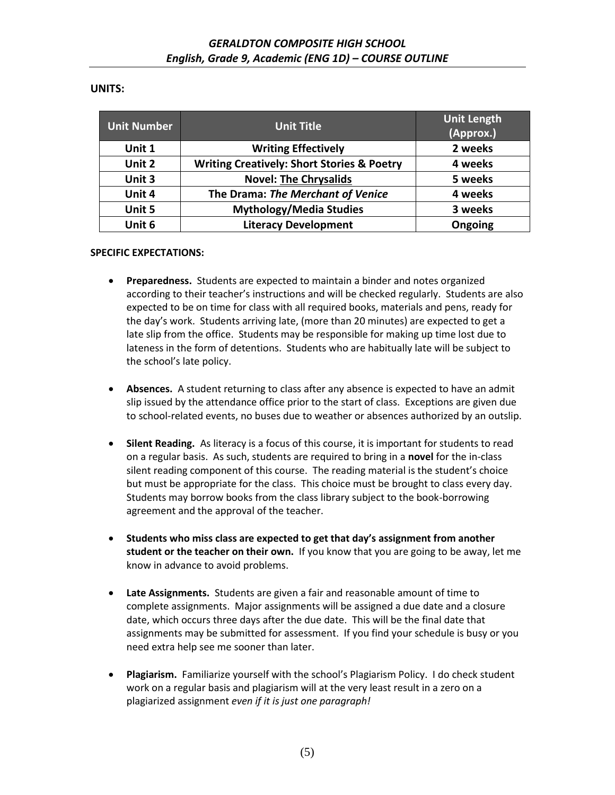## **UNITS:**

| <b>Unit Number</b> | <b>Unit Title</b>                                     | <b>Unit Length</b><br>(Approx.) |
|--------------------|-------------------------------------------------------|---------------------------------|
| Unit 1             | <b>Writing Effectively</b>                            | 2 weeks                         |
| Unit 2             | <b>Writing Creatively: Short Stories &amp; Poetry</b> | 4 weeks                         |
| Unit 3             | <b>Novel: The Chrysalids</b>                          | 5 weeks                         |
| Unit 4             | The Drama: The Merchant of Venice                     | 4 weeks                         |
| Unit 5             | <b>Mythology/Media Studies</b>                        | 3 weeks                         |
| Unit 6             | <b>Literacy Development</b>                           | Ongoing                         |

### **SPECIFIC EXPECTATIONS:**

- **Preparedness.** Students are expected to maintain a binder and notes organized according to their teacher's instructions and will be checked regularly. Students are also expected to be on time for class with all required books, materials and pens, ready for the day's work. Students arriving late, (more than 20 minutes) are expected to get a late slip from the office. Students may be responsible for making up time lost due to lateness in the form of detentions. Students who are habitually late will be subject to the school's late policy.
- **Absences.** A student returning to class after any absence is expected to have an admit slip issued by the attendance office prior to the start of class. Exceptions are given due to school-related events, no buses due to weather or absences authorized by an outslip.
- **Silent Reading.** As literacy is a focus of this course, it is important for students to read on a regular basis. As such, students are required to bring in a **novel** for the in-class silent reading component of this course. The reading material is the student's choice but must be appropriate for the class. This choice must be brought to class every day. Students may borrow books from the class library subject to the book-borrowing agreement and the approval of the teacher.
- **Students who miss class are expected to get that day's assignment from another student or the teacher on their own.** If you know that you are going to be away, let me know in advance to avoid problems.
- **Late Assignments.** Students are given a fair and reasonable amount of time to complete assignments. Major assignments will be assigned a due date and a closure date, which occurs three days after the due date. This will be the final date that assignments may be submitted for assessment. If you find your schedule is busy or you need extra help see me sooner than later.
- **Plagiarism.** Familiarize yourself with the school's Plagiarism Policy. I do check student work on a regular basis and plagiarism will at the very least result in a zero on a plagiarized assignment *even if it is just one paragraph!*